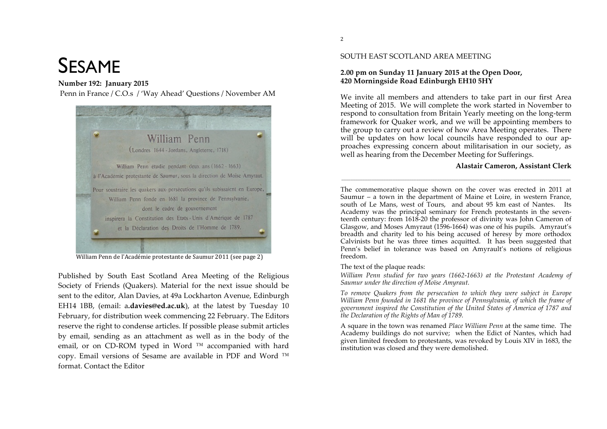# SESAME

## **Number 192: January 2015**

Penn in France / C.O.s / 'Way Ahead' Questions / November AM



William Penn de l'Académie protestante de Saumur 2011 (see page 2)

Published by South East Scotland Area Meeting of the Religious Society of Friends (Quakers). Material for the next issue should be sent to the editor, Alan Davies, at 49a Lockharton Avenue, Edinburgh EH14 1BB, (email: a.davies@ed.ac.uk), at the latest by Tuesday 10 February, for distribution week commencing 22 February. The Editors reserve the right to condense articles. If possible please submit articles by email, sending as an attachment as well as in the body of the email, or on CD-ROM typed in Word  $™$  accompanied with hard copy. Email versions of Sesame are available in PDF and Word ™ format. Contact the Editor

## **2.00 pm on Sunday 11 January 2015 at the Open Door, 420 Morningside Road Edinburgh EH10 5HY**

We invite all members and attenders to take part in our first Area Meeting of 2015. We will complete the work started in November to respond to consultation from Britain Yearly meeting on the long-term framework for Quaker work, and we will be appointing members to the group to carry out a review of how Area Meeting operates. There will be updates on how local councils have responded to our approaches expressing concern about militarisation in our society, as well as hearing from the December Meeting for Sufferings.

## **Alastair Cameron, Assistant Clerk**

The commemorative plaque shown on the cover was erected in 2011 at Saumur – a town in the department of Maine et Loire, in western France, south of Le Mans, west of Tours, and about 95 km east of Nantes. Its Academy was the principal seminary for French protestants in the seventeenth century: from 1618-20 the professor of divinity was John Cameron of Glasgow, and Moses Amyraut (1596-1664) was one of his pupils. Amyraut's breadth and charity led to his being accused of heresy by more orthodox Calvinists but he was three times acquitted. It has been suggested that Penn's belief in tolerance was based on Amyrault's notions of religious freedom.

\_\_\_\_\_\_\_\_\_\_\_\_\_\_\_\_\_\_\_\_\_\_\_\_\_\_\_\_\_\_\_\_\_\_\_\_\_\_\_\_\_\_\_\_\_\_\_\_\_\_\_\_\_\_\_\_\_\_\_\_\_\_\_\_\_\_\_\_\_\_\_\_\_\_\_\_\_\_\_\_\_\_\_\_\_\_\_\_\_\_\_\_\_\_\_\_\_\_

## The text of the plaque reads:

*William Penn studied for two years (1662-1663) at the Protestant Academy of Saumur under the direction of Moïse Amyraut.*

*To remove Quakers from the persecution to which they were subject in Europe William Penn founded in 1681 the province of Pennsylvania, of which the frame of government inspired the Constitution of the United States of America of 1787 and the Declaration of the Rights of Man of 1789.*

A square in the town was renamed *Place William Penn* at the same time. The Academy buildings do not survive; when the Edict of Nantes, which had given limited freedom to protestants, was revoked by Louis XIV in 1683, the institution was closed and they were demolished.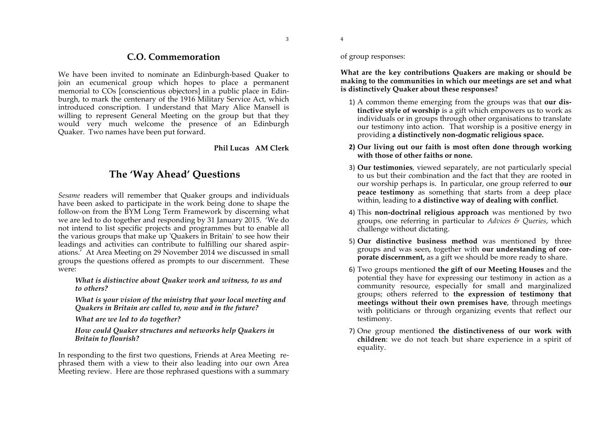## **C.O. Commemoration**

We have been invited to nominate an Edinburgh-based Quaker to join an ecumenical group which hopes to place a permanent memorial to COs [conscientious objectors] in a public place in Edinburgh, to mark the centenary of the 1916 Military Service Act, which introduced conscription. I understand that Mary Alice Mansell is willing to represent General Meeting on the group but that they would very much welcome the presence of an Edinburgh Quaker. Two names have been put forward.

#### **Phil Lucas AM Clerk**

# **The 'Way Ahead' Questions**

*Sesame* readers will remember that Quaker groups and individuals have been asked to participate in the work being done to shape the follow-on from the BYM Long Term Framework by discerning what we are led to do together and responding by 31 January 2015. 'We do not intend to list specific projects and programmes but to enable all the various groups that make up 'Quakers in Britain' to see how their leadings and activities can contribute to fulfilling our shared aspirations.' At Area Meeting on 29 November 2014 we discussed in small groups the questions offered as prompts to our discernment. These were:

*What is distinctive about Quaker work and witness, to us and to others?* 

*What is your vision of the ministry that your local meeting and Quakers in Britain are called to, now and in the future?* 

*What are we led to do together?* 

*How could Quaker structures and networks help Quakers in Britain to flourish?* 

In responding to the first two questions, Friends at Area Meeting rephrased them with a view to their also leading into our own Area Meeting review. Here are those rephrased questions with a summary of group responses:

4

**What are the key contributions Quakers are making or should be making to the communities in which our meetings are set and what is distinctively Quaker about these responses?**

- 1) A common theme emerging from the groups was that **our distinctive style of worship** is a gift which empowers us to work as individuals or in groups through other organisations to translate our testimony into action. That worship is a positive energy in providing **a distinctively non-dogmatic religious space.**
- **2) Our living out our faith is most often done through working with those of other faiths or none.**
- 3) **Our testimonies**, viewed separately, are not particularly special to us but their combination and the fact that they are rooted in our worship perhaps is. In particular, one group referred to **our peace testimony** as something that starts from a deep place within, leading to **a distinctive way of dealing with conflict**.
- 4) This **non-doctrinal religious approach** was mentioned by two groups, one referring in particular to *Advices & Queries*, which challenge without dictating.
- 5) **Our distinctive business method** was mentioned by three groups and was seen, together with **our understanding of corporate discernment,** as a gift we should be more ready to share.
- 6) Two groups mentioned **the gift of our Meeting Houses** and the potential they have for expressing our testimony in action as a community resource, especially for small and marginalized groups; others referred to **the expression of testimony that meetings without their own premises have**, through meetings with politicians or through organizing events that reflect our testimony.
- 7) One group mentioned **the distinctiveness of our work with children**: we do not teach but share experience in a spirit of equality.

3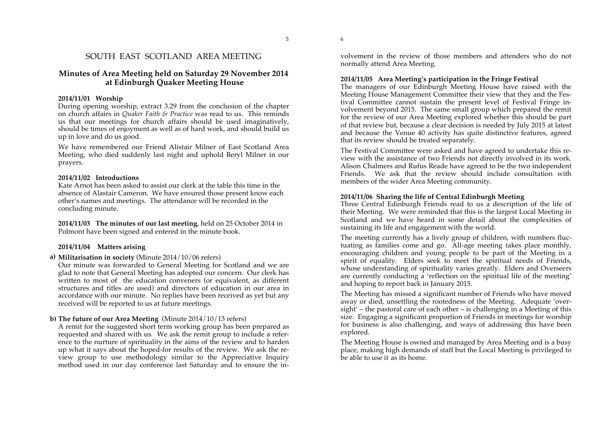6

5

## SOUTH EAST SCOTLAND AREA MEETING

## **Minutes of Area Meeting held on Saturday 29 November 2014 at Edinburgh Quaker Meeting House**

#### **2014/11/01 Worship**

During opening worship, extract 3.29 from the conclusion of the chapter on church affairs in *Quaker Faith & Practice* was read to us. This reminds us that our meetings for church affairs should be used imaginatively, should be times of enjoyment as well as of hard work, and should build us up in love and do us good.

We have remembered our Friend Alistair Milner of East Scotland Area Meeting, who died suddenly last night and uphold Beryl Milner in our prayers.

#### **2014/11/02 Introductions**

Kate Arnot has been asked to assist our clerk at the table this time in the absence of Alastair Cameron. We have ensured those present know each other's names and meetings. The attendance will be recorded in the concluding minute.

**2014/11/03 The minutes of our last meeting**, held on 25 October 2014 in Polmont have been signed and entered in the minute book.

#### **2014/11/04 Matters arising**

**a) Militarisation in society** (Minute 2014/10/06 refers)

Our minute was forwarded to General Meeting for Scotland and we are glad to note that General Meeting has adopted our concern. Our clerk has written to most of the education conveners (or equivalent, as different structures and titles are used) and directors of education in our area in accordance with our minute. No replies have been received as yet but any received will be reported to us at future meetings.

#### **b) The future of our Area Meeting** (Minute 2014/10/13 refers)

A remit for the suggested short term working group has been prepared as requested and shared with us. We ask the remit group to include a reference to the nurture of spirituality in the aims of the review and to harden up what it says about the hoped-for results of the review. We ask the review group to use methodology similar to the Appreciative Inquiry method used in our day conference last Saturday and to ensure the involvement in the review of those members and attenders who do not normally attend Area Meeting.

#### **2014/11/05 Area Meeting's participation in the Fringe Festival**

The managers of our Edinburgh Meeting House have raised with the Meeting House Management Committee their view that they and the Festival Committee cannot sustain the present level of Festival Fringe involvement beyond 2015. The same small group which prepared the remit for the review of our Area Meeting explored whether this should be part of that review but, because a clear decision is needed by July 2015 at latest and because the Venue 40 activity has quite distinctive features, agreed that its review should be treated separately.

The Festival Committee were asked and have agreed to undertake this review with the assistance of two Friends not directly involved in its work. Alison Chalmers and Rufus Reade have agreed to be the two independent Friends. We ask that the review should include consultation with members of the wider Area Meeting community.

#### **2014/11/06 Sharing the life of Central Edinburgh Meeting**

Three Central Edinburgh Friends read to us a description of the life of their Meeting. We were reminded that this is the largest Local Meeting in Scotland and we have heard in some detail about the complexities of sustaining its life and engagement with the world.

The meeting currently has a lively group of children, with numbers fluctuating as families come and go. All-age meeting takes place monthly, encouraging children and young people to be part of the Meeting in a spirit of equality. Elders seek to meet the spiritual needs of Friends, whose understanding of spirituality varies greatly. Elders and Overseers are currently conducting a 'reflection on the spiritual life of the meeting' and hoping to report back in January 2015.

The Meeting has missed a significant number of Friends who have moved away or died, unsettling the rootedness of the Meeting. Adequate 'oversight' – the pastoral care of each other – is challenging in a Meeting of this size. Engaging a significant proportion of Friends in meetings for worship for business is also challenging, and ways of addressing this have been explored.

The Meeting House is owned and managed by Area Meeting and is a busy place, making high demands of staff but the Local Meeting is privileged to be able to use it as its home.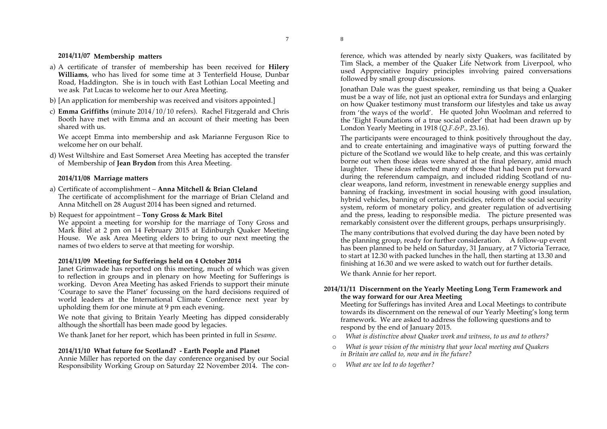8

7

#### **2014/11/07 Membership matters**

- a) A certificate of transfer of membership has been received for **Hilery Williams**, who has lived for some time at 3 Tenterfield House, Dunbar Road, Haddington. She is in touch with East Lothian Local Meeting and we ask Pat Lucas to welcome her to our Area Meeting.
- b) [An application for membership was received and visitors appointed.]
- c) **Emma Griffiths** (minute 2014/10/10 refers). Rachel Fitzgerald and Chris Booth have met with Emma and an account of their meeting has been shared with us.

We accept Emma into membership and ask Marianne Ferguson Rice to welcome her on our behalf.

d) West Wiltshire and East Somerset Area Meeting has accepted the transfer of Membership of **Jean Brydon** from this Area Meeting.

#### **2014/11/08 Marriage matters**

- a) Certificate of accomplishment **Anna Mitchell & Brian Cleland** The certificate of accomplishment for the marriage of Brian Cleland and Anna Mitchell on 28 August 2014 has been signed and returned.
- b) Request for appointment **Tony Gross & Mark Bitel**

We appoint a meeting for worship for the marriage of Tony Gross and Mark Bitel at 2 pm on 14 February 2015 at Edinburgh Quaker Meeting House. We ask Area Meeting elders to bring to our next meeting the names of two elders to serve at that meeting for worship.

#### **2014/11/09 Meeting for Sufferings held on 4 October 2014**

Janet Grimwade has reported on this meeting, much of which was given to reflection in groups and in plenary on how Meeting for Sufferings is working. Devon Area Meeting has asked Friends to support their minute 'Courage to save the Planet' focussing on the hard decisions required of world leaders at the International Climate Conference next year by upholding them for one minute at 9 pm each evening.

We note that giving to Britain Yearly Meeting has dipped considerably although the shortfall has been made good by legacies.

We thank Janet for her report, which has been printed in full in *Sesame*.

#### **2014/11/10 What future for Scotland? - Earth People and Planet**

Annie Miller has reported on the day conference organised by our Social Responsibility Working Group on Saturday 22 November 2014. The conference, which was attended by nearly sixty Quakers, was facilitated by Tim Slack, a member of the Quaker Life Network from Liverpool, who used Appreciative Inquiry principles involving paired conversations followed by small group discussions.

Jonathan Dale was the guest speaker, reminding us that being a Quaker must be a way of life, not just an optional extra for Sundays and enlarging on how Quaker testimony must transform our lifestyles and take us away from 'the ways of the world'. He quoted John Woolman and referred to the 'Eight Foundations of a true social order' that had been drawn up by London Yearly Meeting in 1918 (*Q.F.&P.,* 23.16).

The participants were encouraged to think positively throughout the day, and to create entertaining and imaginative ways of putting forward the picture of the Scotland we would like to help create, and this was certainly borne out when those ideas were shared at the final plenary, amid much laughter. These ideas reflected many of those that had been put forward during the referendum campaign, and included ridding Scotland of nuclear weapons, land reform, investment in renewable energy supplies and banning of fracking, investment in social housing with good insulation, hybrid vehicles, banning of certain pesticides, reform of the social security system, reform of monetary policy, and greater regulation of advertising and the press, leading to responsible media. The picture presented was remarkably consistent over the different groups, perhaps unsurprisingly.

The many contributions that evolved during the day have been noted by the planning group, ready for further consideration. A follow-up event has been planned to be held on Saturday, 31 January, at 7 Victoria Terrace, to start at 12.30 with packed lunches in the hall, then starting at 13.30 and finishing at 16.30 and we were asked to watch out for further details.

We thank Annie for her report.

#### **2014/11/11 Discernment on the Yearly Meeting Long Term Framework and the way forward for our Area Meeting**

Meeting for Sufferings has invited Area and Local Meetings to contribute towards its discernment on the renewal of our Yearly Meeting's long term framework. We are asked to address the following questions and to respond by the end of January 2015.

- o *What is distinctive about Quaker work and witness, to us and to others?*
- o *What is your vision of the ministry that your local meeting and Quakers in Britain are called to, now and in the future?*
- o *What are we led to do together?*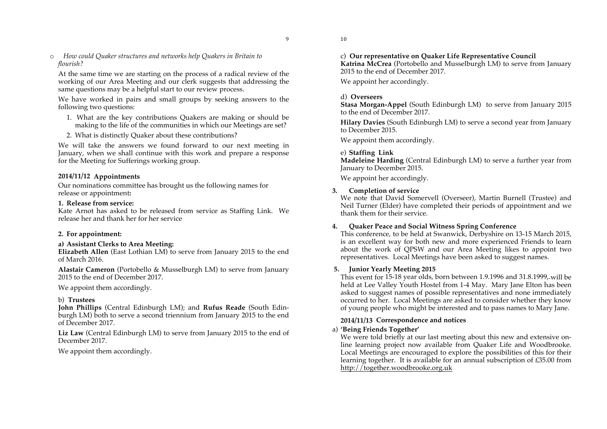9

o *How could Quaker structures and networks help Quakers in Britain to flourish?*

At the same time we are starting on the process of a radical review of the working of our Area Meeting and our clerk suggests that addressing the same questions may be a helpful start to our review process.

We have worked in pairs and small groups by seeking answers to the following two questions:

- 1. What are the key contributions Quakers are making or should be making to the life of the communities in which our Meetings are set?
- 2. What is distinctly Quaker about these contributions?

We will take the answers we found forward to our next meeting in January, when we shall continue with this work and prepare a response for the Meeting for Sufferings working group.

#### **2014/11/12 Appointments**

Our nominations committee has brought us the following names for release or appointment**:**

#### **1. Release from service:**

Kate Arnot has asked to be released from service as Staffing Link. We release her and thank her for her service

## **2. For appointment:**

## **a) Assistant Clerks to Area Meeting:**

**Elizabeth Allen** (East Lothian LM) to serve from January 2015 to the end of March 2016.

**Alastair Cameron** (Portobello & Musselburgh LM) to serve from January 2015 to the end of December 2017.

We appoint them accordingly.

## b) **Trustees**

**John Phillips** (Central Edinburgh LM); and **Rufus Reade** (South Edinburgh LM) both to serve a second triennium from January 2015 to the end of December 2017.

**Liz Law** (Central Edinburgh LM) to serve from January 2015 to the end of December 2017.

We appoint them accordingly.

c) **Our representative on Quaker Life Representative Council** 

**Katrina McCrea** (Portobello and Musselburgh LM) to serve from January 2015 to the end of December 2017.

We appoint her accordingly.

## d) **Overseers**

10

**Stasa Morgan-Appel** (South Edinburgh LM) to serve from January 2015 to the end of December 2017.

**Hilary Davies** (South Edinburgh LM) to serve a second year from January to December 2015.

We appoint them accordingly.

## e) **Staffing Link**

**Madeleine Harding** (Central Edinburgh LM) to serve a further year from January to December 2015.

We appoint her accordingly.

## **3. Completion of service**

We note that David Somervell (Overseer), Martin Burnell (Trustee) and Neil Turner (Elder) have completed their periods of appointment and we thank them for their service.

## **4. Quaker Peace and Social Witness Spring Conference**

This conference, to be held at Swanwick, Derbyshire on 13-15 March 2015, is an excellent way for both new and more experienced Friends to learn about the work of QPSW and our Area Meeting likes to appoint two representatives. Local Meetings have been asked to suggest names.

## **5. Junior Yearly Meeting 2015**

This event for 15-18 year olds, born between 1.9.1996 and 31.8.1999,.will be held at Lee Valley Youth Hostel from 1-4 May. Mary Jane Elton has been asked to suggest names of possible representatives and none immediately occurred to her. Local Meetings are asked to consider whether they know of young people who might be interested and to pass names to Mary Jane.

## **2014/11/13 Correspondence and notices**

## a) **'Being Friends Together'**

We were told briefly at our last meeting about this new and extensive online learning project now available from Quaker Life and Woodbrooke. Local Meetings are encouraged to explore the possibilities of this for their learning together. It is available for an annual subscription of £35.00 from http://together.woodbrooke.org.uk